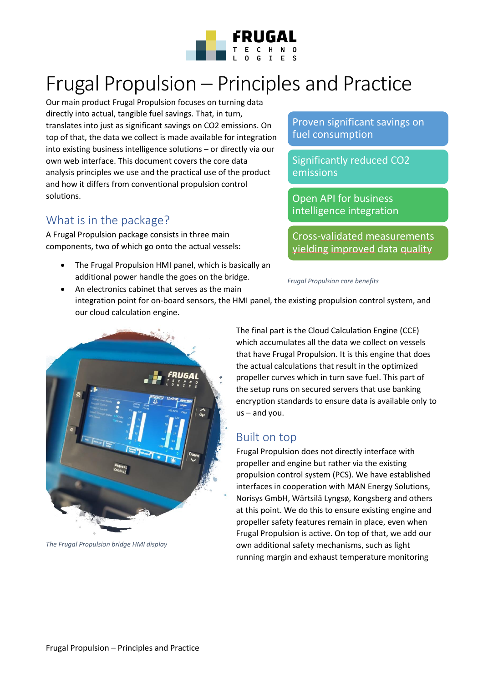

# Frugal Propulsion – Principles and Practice

Our main product Frugal Propulsion focuses on turning data directly into actual, tangible fuel savings. That, in turn, translates into just as significant savings on CO2 emissions. On top of that, the data we collect is made available for integration into existing business intelligence solutions – or directly via our own web interface. This document covers the core data analysis principles we use and the practical use of the product and how it differs from conventional propulsion control solutions.

### What is in the package?

A Frugal Propulsion package consists in three main components, two of which go onto the actual vessels:

• The Frugal Propulsion HMI panel, which is basically an additional power handle the goes on the bridge.

Proven significant savings on fuel consumption

Significantly reduced CO2 emissions

Open API for business intelligence integration

Cross-validated measurements yielding improved data quality

*Frugal Propulsion core benefits* 

• An electronics cabinet that serves as the main integration point for on-board sensors, the HMI panel, the existing propulsion control system, and our cloud calculation engine.



*The Frugal Propulsion bridge HMI display* 

The final part is the Cloud Calculation Engine (CCE) which accumulates all the data we collect on vessels that have Frugal Propulsion. It is this engine that does the actual calculations that result in the optimized propeller curves which in turn save fuel. This part of the setup runs on secured servers that use banking encryption standards to ensure data is available only to us – and you.

### Built on top

Frugal Propulsion does not directly interface with propeller and engine but rather via the existing propulsion control system (PCS). We have established interfaces in cooperation with MAN Energy Solutions, Norisys GmbH, Wärtsilä Lyngsø, Kongsberg and others at this point. We do this to ensure existing engine and propeller safety features remain in place, even when Frugal Propulsion is active. On top of that, we add our own additional safety mechanisms, such as light running margin and exhaust temperature monitoring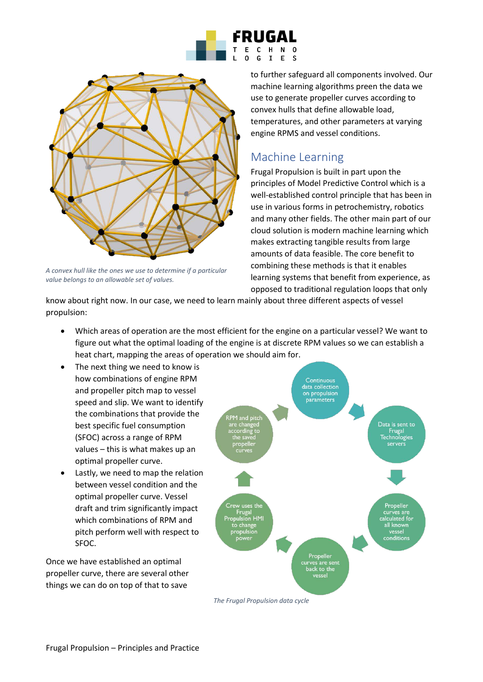



*A convex hull like the ones we use to determine if a particular value belongs to an allowable set of values.* 

#### to further safeguard all components involved. Our machine learning algorithms preen the data we use to generate propeller curves according to convex hulls that define allowable load, temperatures, and other parameters at varying engine RPMS and vessel conditions.

## Machine Learning

Frugal Propulsion is built in part upon the principles of Model Predictive Control which is a well-established control principle that has been in use in various forms in petrochemistry, robotics and many other fields. The other main part of our cloud solution is modern machine learning which makes extracting tangible results from large amounts of data feasible. The core benefit to combining these methods is that it enables learning systems that benefit from experience, as opposed to traditional regulation loops that only

know about right now. In our case, we need to learn mainly about three different aspects of vessel propulsion:

- Which areas of operation are the most efficient for the engine on a particular vessel? We want to figure out what the optimal loading of the engine is at discrete RPM values so we can establish a heat chart, mapping the areas of operation we should aim for.
- The next thing we need to know is how combinations of engine RPM and propeller pitch map to vessel speed and slip. We want to identify the combinations that provide the best specific fuel consumption (SFOC) across a range of RPM values – this is what makes up an optimal propeller curve.
- Lastly, we need to map the relation between vessel condition and the optimal propeller curve. Vessel draft and trim significantly impact which combinations of RPM and pitch perform well with respect to SFOC.

Once we have established an optimal propeller curve, there are several other things we can do on top of that to save



*The Frugal Propulsion data cycle*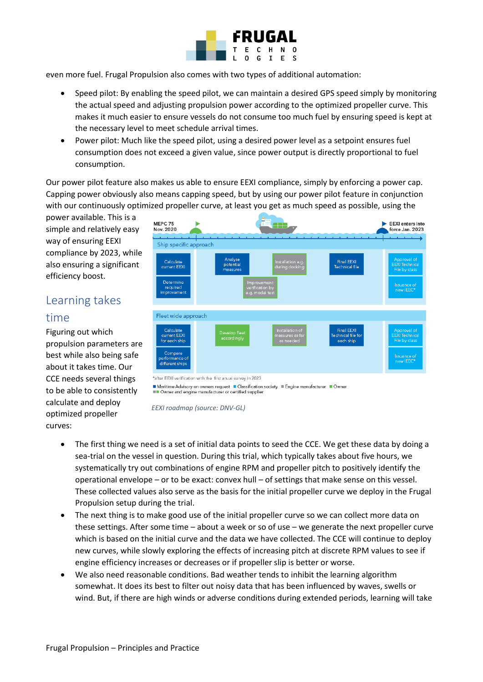

even more fuel. Frugal Propulsion also comes with two types of additional automation:

- Speed pilot: By enabling the speed pilot, we can maintain a desired GPS speed simply by monitoring the actual speed and adjusting propulsion power according to the optimized propeller curve. This makes it much easier to ensure vessels do not consume too much fuel by ensuring speed is kept at the necessary level to meet schedule arrival times.
- Power pilot: Much like the speed pilot, using a desired power level as a setpoint ensures fuel consumption does not exceed a given value, since power output is directly proportional to fuel consumption.

Our power pilot feature also makes us able to ensure EEXI compliance, simply by enforcing a power cap. Capping power obviously also means capping speed, but by using our power pilot feature in conjunction with our continuously optimized propeller curve, at least you get as much speed as possible, using the

power available. This is a simple and relatively easy way of ensuring EEXI compliance by 2023, while also ensuring a significant efficiency boost.

# Learning takes

#### time

Figuring out which propulsion parameters are best while also being safe about it takes time. Our CCE needs several things to be able to consistently calculate and deploy optimized propeller curves:

| MEPC 75<br>Nov. 2020                                                                       |                                  |                                                                                          |                                                             | <b>EEXI</b> enters into<br>force Jan. 2023                                               |
|--------------------------------------------------------------------------------------------|----------------------------------|------------------------------------------------------------------------------------------|-------------------------------------------------------------|------------------------------------------------------------------------------------------|
| Ship specific approach                                                                     |                                  |                                                                                          |                                                             |                                                                                          |
| Calculate<br>current EEXI<br>Determine<br>required<br>improvement                          | Analyse<br>potential<br>measures | Installation e.g.<br>during docking<br>Improvement<br>verification by<br>e.g. model test | <b>Final EEXI</b><br>Technical file                         | Approval of<br><b>EEXI</b> Technical<br>File by class<br><b>Issuance of</b><br>new IEEC* |
| Fleet wide approach                                                                        |                                  |                                                                                          |                                                             |                                                                                          |
| Calculate<br>current EEXI<br>for each ship<br>Compare<br>performance of<br>different ships | Develop fleet<br>accordingly     | Installation of<br>measures as far<br>as needed                                          | <b>Final EEXI</b><br><b>Technical file for</b><br>each ship | Approval of<br><b>EEXI</b> Technical<br>File by class<br><b>Issuance of</b><br>new IEEC* |
| *=#er EEVI wertflantien with the first sound supervision 2022.                             |                                  |                                                                                          |                                                             |                                                                                          |

tion with the first anual survey in 2023

Maritime Advisory on owners request Classification society Engine manufacturer Cowner ■■ Owner and engine manufacturer or certified supplier

*EEXI roadmap (source: DNV-GL)* 

- The first thing we need is a set of initial data points to seed the CCE. We get these data by doing a sea-trial on the vessel in question. During this trial, which typically takes about five hours, we systematically try out combinations of engine RPM and propeller pitch to positively identify the operational envelope – or to be exact: convex hull – of settings that make sense on this vessel. These collected values also serve as the basis for the initial propeller curve we deploy in the Frugal Propulsion setup during the trial.
- The next thing is to make good use of the initial propeller curve so we can collect more data on these settings. After some time – about a week or so of use – we generate the next propeller curve which is based on the initial curve and the data we have collected. The CCE will continue to deploy new curves, while slowly exploring the effects of increasing pitch at discrete RPM values to see if engine efficiency increases or decreases or if propeller slip is better or worse.
- We also need reasonable conditions. Bad weather tends to inhibit the learning algorithm somewhat. It does its best to filter out noisy data that has been influenced by waves, swells or wind. But, if there are high winds or adverse conditions during extended periods, learning will take